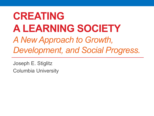# **CREATING A LEARNING SOCIETY** *A New Approach to Growth, Development, and Social Progress.*

Joseph E. Stiglitz Columbia University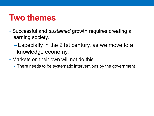### **Two themes**

- Successful and *sustained* growth requires creating a learning society.
	- −Especially in the 21st century, as we move to a knowledge economy.
- Markets on their own will not do this
	- There needs to be systematic interventions by the government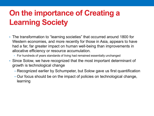#### **On the importance of Creating a Learning Society**

- The transformation to "learning societies" that occurred around 1800 for Western economies, and more recently for those in Asia, appears to have had a far, far greater impact on human well-being than improvements in allocative efficiency or resource accumulation.
	- For hundreds of years standards of living had remained essentially unchanged
- Since Solow, we have recognized that the most important determinant of growth is technological change
	- −Recognized earlier by Schumpeter, but Solow gave us first quantification
	- −Our focus should be on the impact of policies on technological change, learning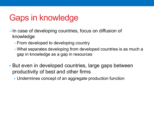# Gaps in knowledge

- −In case of developing countries, focus on diffusion of knowledge
	- −From developed to developing country
	- −What separates developing from developed countries is as much a gap in knowledge as a gap in resources
- But even in developed countries, large gaps between productivity of best and other firms
	- Undermines concept of an aggregate production function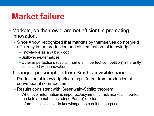### **Market failure**

- Markets, on their own, are not efficient in promoting innovation.
	- Since Arrow, recognized that markets by themselves do not yield efficiency in the production and dissemination of knowledge
		- −Knowledge as a public good
		- −Spillovers/externalities
		- −Other imperfections (capital markets, imperfect competition) inherently associated with innovation

#### −Changed presumption from Smith's invisible hand

- −Production of knowledge/learning different from production of conventional commodities
- −Results consistent with Greenwald-Stiglitz theorem
	- −Whenever information is imperfect/asymmetric, risk markets imperfect markets are not (constrained Pareto) efficient
	- −Information is similar to knowledge, so result not surprise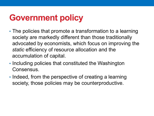# **Government policy**

- The policies that promote a transformation to a learning society are markedly different than those traditionally advocated by economists, which focus on improving the *static* efficiency of resource allocation and the accumulation of capital.
- Including policies that constituted the Washington Consensus.
- Indeed, from the perspective of creating a learning society, those policies may be counterproductive.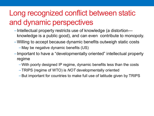#### Long recognized conflict between static and dynamic perspectives

- −Intellectual property restricts use of knowledge (a distortion knowledge is a public good), and can even contribute to monopoly.
- −Willing to accept because dynamic benefits outweigh static costs
	- −May be negative dynamic benefits (US)
- −Important to have a "developmentally oriented" intellectual property regime
	- −With poorly designed IP regime, dynamic benefits less than the costs
	- −TRIPS (regime of WTO) is *NOT* developmentally oriented
	- −But important for countries to make full use of latitude given by TRIPS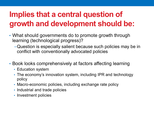#### **Implies that a central question of growth and development should be:**

- What should governments do to promote growth through learning (technological progress)?
	- −Question is especially salient because such policies may be in conflict with conventionally advocated policies
- Book looks comprehensively at factors affecting learning
	- Education system
	- The economy's innovation system, including IPR and technology policy
	- Macro-economic policies, including exchange rate policy
	- Industrial and trade policies
	- Investment policies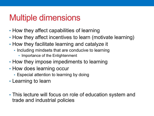## Multiple dimensions

- How they affect capabilities of learning
- How they affect incentives to learn (motivate learning)
- How they facilitate learning and catalyze it
	- Including mindsets that are conducive to learning
		- Importance of the Enlightenment
- How they impose impediments to learning
- How does learning occur
	- Especial attention to learning by doing
- Learning to learn
- This lecture will focus on role of education system and trade and industrial policies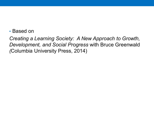• Based on

*Creating a Learning Society: A New Approach to Growth, Development, and Social Progress* with Bruce Greenwald *(*Columbia University Press, 2014)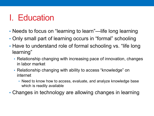# I. Education

- Needs to focus on "learning to learn"—life long learning
- Only small part of learning occurs in "formal" schooling
- Have to understand role of formal schooling vs. "life long learning"
	- Relationship changing with increasing pace of innovation, changes in labor market
	- Relationship changing with ability to access "knowledge" on internet
		- Need to know how to access, evaluate, and analyze knowledge base which is readily available
- Changes in technology are allowing changes in learning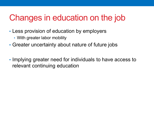# Changes in education on the job

- Less provision of education by employers
	- With greater labor mobility
- Greater uncertainty about nature of future jobs
- Implying greater need for individuals to have access to relevant continuing education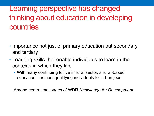Learning perspective has changed thinking about education in developing countries

- Importance not just of primary education but secondary and tertiary
- Learning skills that enable individuals to learn in the contexts in which they live
	- With many continuing to live in rural sector, a rural-based education—not just qualifying individuals for urban jobs

Among central messages of WDR *Knowledge for Development*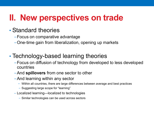# **II. New perspectives on trade**

#### • Standard theories

- −Focus on comparative advantage
- −One-time gain from liberalization, opening up markets

#### • Technology-based learning theories

- −Focus on diffusion of technology from developed to less developed countries
- −And **spillovers** from one sector to other
- −And learning within any sector
	- Within all countries, there are large differences between average and best practices
	- − Suggesting large scope for "learning"
- − Localized learning—localized to technologies
	- − Similar technologies can be used across sectors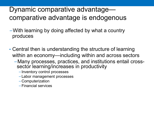#### Dynamic comparative advantage comparative advantage is endogenous

- −With learning by doing affected by what a country produces
- Central then is understanding the structure of learning within an economy—including within and across sectors
	- <sup>−</sup>Many processes, practices, and institutions entail cross- sector learning/increases in productivity
		- −Inventory control processes
		- −Labor management processes
		- −Computerization
		- −Financial services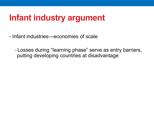## **Infant industry argument**

- Infant industries—economies of scale
	- −Losses during "learning phase" serve as entry barriers, putting developing countries at disadvantage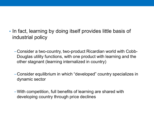- In fact, learning by doing itself provides little basis of industrial policy
	- −Consider a two-country, two-product Ricardian world with Cobb-Douglas utility functions, with one product with learning and the other stagnant (learning internalized in country)
	- −Consider equilibrium in which "developed" country specializes in dynamic sector
	- −With competition, full benefits of learning are shared with developing country through price declines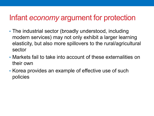#### Infant *economy* argument for protection

- The industrial sector (broadly understood, including modern services) may not only exhibit a larger learning elasticity, but also more spillovers to the rural/agricultural sector
- Markets fail to take into account of these externalities on their own
- Korea provides an example of effective use of such policies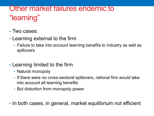#### Other market failures endemic to "learning"

- Two cases:
- Learning external to the firm
	- Failure to take into account learning benefits to industry as well as spillovers
- Learning limited to the firm
	- Natural monopoly
	- If there were no cross-sectoral spillovers, rational firm would take into account all learning benefits
	- But distortion from monopoly power
- In both cases, in general, market equilibrium not efficient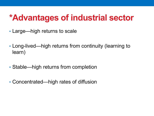# **\*Advantages of industrial sector**

- Large—high returns to scale
- Long-lived—high returns from continuity (learning to learn)
- Stable—high returns from completion
- Concentrated—high rates of diffusion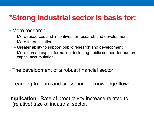#### **\*Strong industrial sector is basis for:**

#### • More research–

- −More resources and incentives for research and development
- −More internalization
- −Greater ability to support public research and development
- −More human capital formation, including public support for human capital accumulation
- The development of a robust financial sector
- Learning to learn and cross-border knowledge flows

**Implication**: Rate of productivity increase related to (relative) size of industrial sector.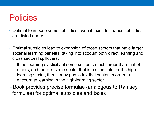### **Policies**

- Optimal to impose some subsidies, even if taxes to finance subsidies are distortionary
- Optimal subsidies lead to expansion of those sectors that have larger societal learning benefits, taking into account both direct learning and cross sectoral spillovers.
	- −If the learning elasticity of some sector is much larger than that of others, and there is some sector that is a substitute for the highlearning sector, then it may pay to tax that sector, in order to encourage learning in the high-learning sector
- −Book provides precise formulae (analogous to Ramsey formulae) for optimal subsidies and taxes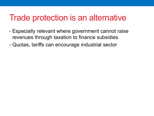#### Trade protection is an alternative

- Especially relevant where government cannot raise revenues through taxation to finance subsidies
- Quotas, tariffs can encourage industrial sector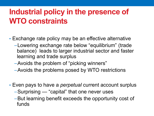#### **Industrial policy in the presence of WTO constraints**

- Exchange rate policy may be an effective alternative
	- −Lowering exchange rate below "equilibrium" (trade balance) leads to larger industrial sector and faster learning and trade surplus
	- −Avoids the problem of "picking winners"
	- −Avoids the problems posed by WTO restrictions
- Even pays to have a *perpetual* current account surplus
	- −Surprising "capital" that one never uses
	- −But learning benefit exceeds the opportunity cost of funds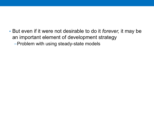• But even if it were not desirable to do it *forever,* it may be an important element of development strategy

−Problem with using steady-state models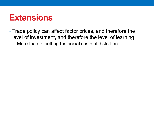#### **Extensions**

• Trade policy can affect factor prices, and therefore the level of investment, and therefore the level of learning −More than offsetting the social costs of distortion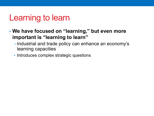# Learning to learn

- **We have focused on "learning," but even more important is "learning to learn"** 
	- −Industrial and trade policy can enhance an economy's learning capacities
	- Introduces complex strategic questions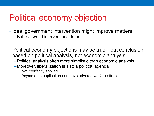# Political economy objection

- Ideal government intervention might improve matters −But real world interventions do not
- Political economy objections may be true—but conclusion based on political analysis, not economic analysis
	- −Political analysis often more simplistic than economic analysis
	- −Moreover, liberalization is also a political agenda
		- −Not "perfectly applied"
		- −Asymmetric application can have adverse welfare effects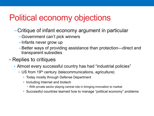# Political economy objections

- −Critique of infant economy argument in particular
	- −Government can't pick winners
	- −Infants never grow up
	- −Better ways of providing assistance than protection—direct and transparent subsidies
- Replies to critiques
	- Almost every successful country has had "industrial policies"
		- US from 19<sup>th</sup> century (telecommunications, agriculture)
			- Today mostly through Defense Department
			- Including Internet and biotech
				- With private sector playing central role in bringing innovation to market
			- Successful countries learned how to manage "political economy" problems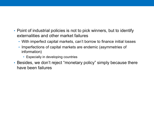- Point of industrial policies is not to pick winners, but to identify externalities and other market failures
	- With imperfect capital markets, can't borrow to finance initial losses
	- Imperfections of capital markets are endemic (asymmetries of information)
		- Especially in developing countries
- Besides, we don't reject "monetary policy" simply because there have been failures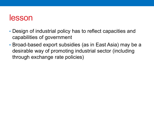#### lesson

- Design of industrial policy has to reflect capacities and capabilities of government
- Broad-based export subsidies (as in East Asia) may be a desirable way of promoting industrial sector (including through exchange rate policies)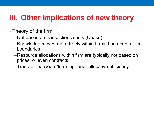#### **III. Other implications of new theory**

- Theory of the firm
	- −Not based on transactions costs (Coase)
	- −Knowledge moves more freely within firms than across firm boundaries
	- −Resource allocations within firm are typically not based on prices, or even contracts
	- −Trade-off between "learning" and "allocative efficiency"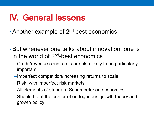# **IV. General lessons**

- Another example of 2<sup>nd</sup> best economics
- But whenever one talks about innovation, one is in the world of  $2<sup>nd</sup>$ -best economics
	- −Credit/revenue constraints are also likely to be particularly important
	- −Imperfect competition/increasing returns to scale
	- −Risk, with imperfect risk markets
	- −All elements of standard Schumpeterian economics
	- −Should be at the center of endogenous growth theory and growth policy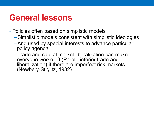# **General lessons**

- Policies often based on simplistic models
	- −Simplistic models consistent with simplistic ideologies
	- −And used by special interests to advance particular policy agenda
	- −Trade and capital market liberalization can make everyone worse off (Pareto inferior trade and liberalization) if there are imperfect risk markets (Newbery-Stiglitz, 1982)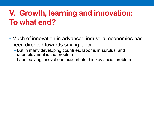#### **V. Growth, learning and innovation: To what end?**

- Much of innovation in advanced industrial economies has been directed towards saving labor
	- −But in many developing countries, labor is in surplus, and unemployment is the problem
	- −Labor saving innovations exacerbate this key social problem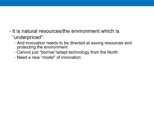- It is natural resources/the environment which is "underpriced"
	- −And innovation needs to be directed at saving resources and protecting the environment
	- −Cannot just "borrow"/adapt technology from the North
	- −Need a new "model" of innovation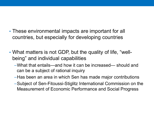- These environmental impacts are important for all countries, but especially for developing countries
- What matters is not GDP, but the quality of life, "wellbeing" and individual capabilities
	- −What that entails—and how it can be increased— should and can be a subject of rational inquiry
	- −Has been an area in which Sen has made major contributions
	- −Subject of Sen-Fitoussi-Stiglitz International Commission on the Measurement of Economic Performance and Social Progress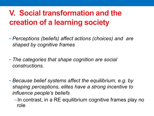#### **V. Social transformation and the creation of a learning society**

- *Perceptions (beliefs) affect actions (choices) and are shaped by cognitive frames*
- *The categories that shape cognition are social constructions.*
- *Because belief systems affect the equilibrium, e.g. by shaping perceptions, elites have a strong incentive to influence people's beliefs*
	- −In contrast, in a RE equilibrium cognitive frames play no role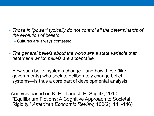• *Those in "power" typically do not control all the determinants of the evolution of beliefs*

−Cultures are always contested.

- *The general beliefs about the world are a state variable that determine which beliefs are acceptable.*
- How such belief systems change—and how those (like governments) who seek to deliberately change belief systems—is thus a core part of developmental analysis

(Analysis based on K. Hoff and J. E. Stiglitz, 2010, "Equilibrium Fictions: A Cognitive Approach to Societal Rigidity," *American Economic Review,* 100(2): 141-146)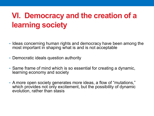#### **VI. Democracy and the creation of a learning society**

- Ideas concerning human rights and democracy have been among the most important in shaping what is and is not acceptable
- Democratic ideals question authority
- Same frame of mind which is so essential for creating a dynamic, learning economy and society
- A more open society generates more ideas, a flow of "mutations," which provides not only excitement, but the possibility of dynamic evolution, rather than stasis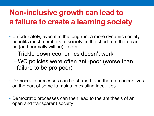#### **Non-inclusive growth can lead to a failure to create a learning society**

- Unfortunately, even if in the long run, a more dynamic society benefits most members of society, in the short run, there can be (and normally will be) losers
	- −Trickle-down economics doesn't work
	- −WC policies were often anti-poor (worse than failure to be pro-poor)
- Democratic processes can be shaped, and there are incentives on the part of some to maintain existing inequities
- Democratic processes can then lead to the antithesis of an open and transparent society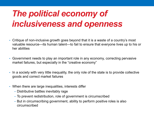# *The political economy of inclusiveness and openness*

- Critique of non-inclusive growth goes beyond that it is a waste of a country's most valuable resource—its human talent—to fail to ensure that everyone lives up to his or her abilities
- Government needs to play an important role in any economy, correcting pervasive market failures, but especially in the "creative economy"
- In a society with very little inequality, the only role of the state is to provide collective goods and correct market failures
- When there are large inequalities, interests differ
	- − Distributive battles inevitably rage
	- − To prevent redistribution, role of government is circumscribed
	- − But in circumscribing government, ability to perform positive roles is also circumscribed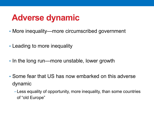# **Adverse dynamic**

- More inequality—more circumscribed government
- Leading to more inequality
- In the long run—more unstable, lower growth
- Some fear that US has now embarked on this adverse dynamic
	- −Less equality of opportunity, more inequality, than some countries of "old Europe"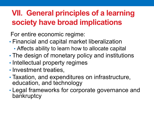#### **VII. General principles of a learning society have broad implications**

For entire economic regime:

- Financial and capital market liberalization
	- Affects ability to learn how to allocate capital
- The design of monetary policy and institutions
- Intellectual property regimes
- Investment treaties,
- Taxation, and expenditures on infrastructure, education, and technology
- Legal frameworks for corporate governance and bankruptcy